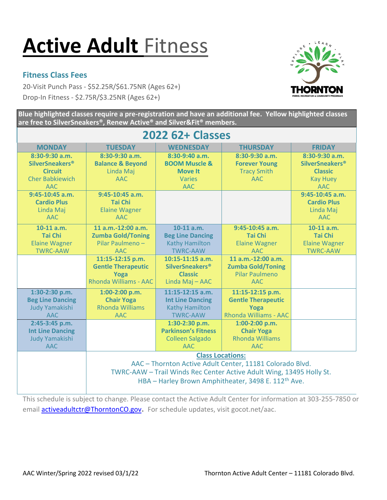## **Active Adult** Fitness

## **Fitness Class Fees**

20-Visit Punch Pass - \$52.25R/\$61.75NR (Ages 62+) **THORNTON** Drop-In Fitness - \$2.75R/\$3.25NR (Ages 62+)



**Blue highlighted classes require a pre-registration and have an additional fee. Yellow highlighted classes are free to SilverSneakers®, Renew Active® and Silver&Fit® members.** 

| <b>2022 62+ Classes</b>                                                                                 |                                                                                                                                                                                                                                |                                                                                             |                                                                                       |                                                                                                  |
|---------------------------------------------------------------------------------------------------------|--------------------------------------------------------------------------------------------------------------------------------------------------------------------------------------------------------------------------------|---------------------------------------------------------------------------------------------|---------------------------------------------------------------------------------------|--------------------------------------------------------------------------------------------------|
| <b>MONDAY</b>                                                                                           | <b>TUESDAY</b>                                                                                                                                                                                                                 | <b>WEDNESDAY</b>                                                                            | <b>THURSDAY</b>                                                                       | <b>FRIDAY</b>                                                                                    |
| 8:30-9:30 a.m.<br><b>SilverSneakers<sup>®</sup></b><br><b>Circuit</b><br><b>Cher Babkiewich</b><br>AAC. | 8:30-9:30 a.m.<br><b>Balance &amp; Beyond</b><br>Linda Maj<br>AAC.                                                                                                                                                             | 8:30-9:40 a.m.<br><b>BOOM Muscle &amp;</b><br><b>Move It</b><br><b>Varies</b><br><b>AAC</b> | $8:30-9:30$ a.m.<br><b>Forever Young</b><br><b>Tracy Smith</b><br>AAC.                | 8:30-9:30 a.m.<br><b>SilverSneakers<sup>®</sup></b><br><b>Classic</b><br><b>Kay Huey</b><br>AAC. |
| $9:45-10:45$ a.m.<br><b>Cardio Plus</b><br>Linda Maj<br>AAC.                                            | $9:45-10:45$ a.m.<br><b>Tai Chi</b><br><b>Elaine Wagner</b><br>AAC                                                                                                                                                             |                                                                                             |                                                                                       | $9:45-10:45$ a.m.<br><b>Cardio Plus</b><br>Linda Maj<br>AAC.                                     |
| $10-11$ a.m.<br><b>Tai Chi</b><br><b>Elaine Wagner</b><br><b>TWRC-AAW</b>                               | 11 a.m.-12:00 a.m.<br><b>Zumba Gold/Toning</b><br>Pilar Paulmeno -<br><b>AAC</b>                                                                                                                                               | $10-11$ a.m.<br><b>Beg Line Dancing</b><br><b>Kathy Hamilton</b><br><b>TWRC-AAW</b>         | $9:45-10:45$ a.m.<br><b>Tai Chi</b><br><b>Elaine Wagner</b><br>AAC.                   | $10-11$ a.m.<br><b>Tai Chi</b><br><b>Elaine Wagner</b><br><b>TWRC-AAW</b>                        |
|                                                                                                         | 11:15-12:15 p.m.<br><b>Gentle Therapeutic</b><br>Yoga<br>Rhonda Williams - AAC                                                                                                                                                 | 10:15-11:15 a.m.<br><b>SilverSneakers<sup>®</sup></b><br><b>Classic</b><br>Linda Maj - AAC  | $11 a.m.-12:00 a.m.$<br><b>Zumba Gold/Toning</b><br>Pilar Paulmeno<br>AAC.            |                                                                                                  |
| 1:30-2:30 p.m.<br><b>Beg Line Dancing</b><br>Judy Yamakishi<br>AAC.                                     | 1:00-2:00 p.m.<br><b>Chair Yoga</b><br><b>Rhonda Williams</b><br>AAC.                                                                                                                                                          | $11:15-12:15$ a.m.<br><b>Int Line Dancing</b><br><b>Kathy Hamilton</b><br><b>TWRC-AAW</b>   | 11:15-12:15 p.m.<br><b>Gentle Therapeutic</b><br>Yoga<br><b>Rhonda Williams - AAC</b> |                                                                                                  |
| 2:45-3:45 p.m.<br><b>Int Line Dancing</b><br><b>Judy Yamakishi</b><br><b>AAC</b>                        |                                                                                                                                                                                                                                | 1:30-2:30 p.m.<br><b>Parkinson's Fitness</b><br><b>Colleen Salgado</b><br>AAC.              | $1:00-2:00$ p.m.<br><b>Chair Yoga</b><br><b>Rhonda Williams</b><br><b>AAC</b>         |                                                                                                  |
|                                                                                                         | <b>Class Locations:</b><br>AAC - Thornton Active Adult Center, 11181 Colorado Blvd.<br>TWRC-AAW - Trail Winds Rec Center Active Adult Wing, 13495 Holly St.<br>HBA - Harley Brown Amphitheater, 3498 E. 112 <sup>th</sup> Ave. |                                                                                             |                                                                                       |                                                                                                  |

This schedule is subject to change. Please contact the Active Adult Center for information at 303-255-7850 or email **activeadultctr@ThorntonCO.gov**. For schedule updates, visit gocot.net/aac.